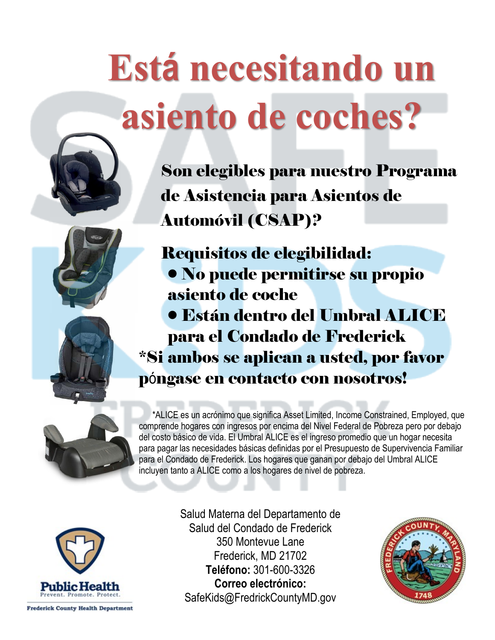## **Está necesitando un asiento de coches?**







Son elegibles para nuestro Programa de Asistencia para Asientos de Automóvil (CSAP)?

Requisitos de elegibilidad: • No puede permitirse su propio asiento de coche

• Están dentro del Umbral ALICE para el Condado de Frederick \*Si ambos se aplican a usted, por favor

póngase en contacto con nosotros!



 \*ALICE es un acrónimo que significa Asset Limited, Income Constrained, Employed, que comprende hogares con ingresos por encima del Nivel Federal de Pobreza pero por debajo del costo básico de vida. El Umbral ALICE es el ingreso promedio que un hogar necesita para pagar las necesidades básicas definidas por el Presupuesto de Supervivencia Familiar para el Condado de Frederick. Los hogares que ganan por debajo del Umbral ALICE incluyen tanto a ALICE como a los hogares de nivel de pobreza.



Salud Materna del Departamento de Salud del Condado de Frederick 350 Montevue Lane Frederick, MD 21702 **Teléfono:** 301-600-3326 **Correo electrónico:**  [SafeKids@FredrickCountyMD.gov](mailto:SafeKids@FredrickCountyMD.gov)